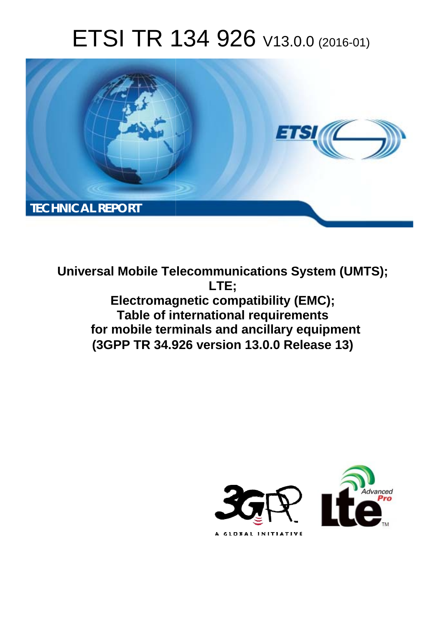# ETSI TR 134 926 V13.0.0 (2016-01)



**Universal Mobile Tel elecommunications System ( (UMTS); Electromagnetic compatibility (EMC); Table of in international requirements** for mobile terminals and ancillary equipment **(3GPP TR 34.9 .926 version 13.0.0 Release 13 13) LTE;** 

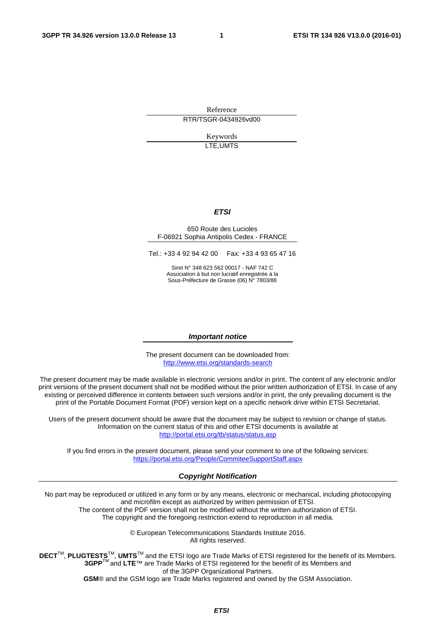Reference RTR/TSGR-0434926vd00

> Keywords LTE,UMTS

#### *ETSI*

#### 650 Route des Lucioles F-06921 Sophia Antipolis Cedex - FRANCE

Tel.: +33 4 92 94 42 00 Fax: +33 4 93 65 47 16

Siret N° 348 623 562 00017 - NAF 742 C Association à but non lucratif enregistrée à la Sous-Préfecture de Grasse (06) N° 7803/88

#### *Important notice*

The present document can be downloaded from: <http://www.etsi.org/standards-search>

The present document may be made available in electronic versions and/or in print. The content of any electronic and/or print versions of the present document shall not be modified without the prior written authorization of ETSI. In case of any existing or perceived difference in contents between such versions and/or in print, the only prevailing document is the print of the Portable Document Format (PDF) version kept on a specific network drive within ETSI Secretariat.

Users of the present document should be aware that the document may be subject to revision or change of status. Information on the current status of this and other ETSI documents is available at <http://portal.etsi.org/tb/status/status.asp>

If you find errors in the present document, please send your comment to one of the following services: <https://portal.etsi.org/People/CommiteeSupportStaff.aspx>

#### *Copyright Notification*

No part may be reproduced or utilized in any form or by any means, electronic or mechanical, including photocopying and microfilm except as authorized by written permission of ETSI.

The content of the PDF version shall not be modified without the written authorization of ETSI. The copyright and the foregoing restriction extend to reproduction in all media.

> © European Telecommunications Standards Institute 2016. All rights reserved.

**DECT**TM, **PLUGTESTS**TM, **UMTS**TM and the ETSI logo are Trade Marks of ETSI registered for the benefit of its Members. **3GPP**TM and **LTE**™ are Trade Marks of ETSI registered for the benefit of its Members and of the 3GPP Organizational Partners.

**GSM**® and the GSM logo are Trade Marks registered and owned by the GSM Association.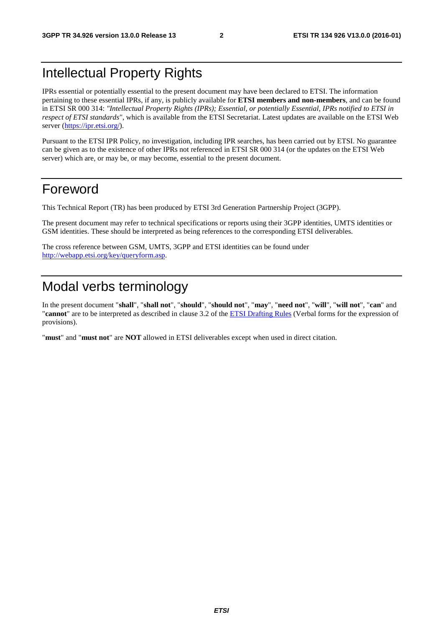### Intellectual Property Rights

IPRs essential or potentially essential to the present document may have been declared to ETSI. The information pertaining to these essential IPRs, if any, is publicly available for **ETSI members and non-members**, and can be found in ETSI SR 000 314: *"Intellectual Property Rights (IPRs); Essential, or potentially Essential, IPRs notified to ETSI in respect of ETSI standards"*, which is available from the ETSI Secretariat. Latest updates are available on the ETSI Web server [\(https://ipr.etsi.org/](https://ipr.etsi.org/)).

Pursuant to the ETSI IPR Policy, no investigation, including IPR searches, has been carried out by ETSI. No guarantee can be given as to the existence of other IPRs not referenced in ETSI SR 000 314 (or the updates on the ETSI Web server) which are, or may be, or may become, essential to the present document.

#### Foreword

This Technical Report (TR) has been produced by ETSI 3rd Generation Partnership Project (3GPP).

The present document may refer to technical specifications or reports using their 3GPP identities, UMTS identities or GSM identities. These should be interpreted as being references to the corresponding ETSI deliverables.

The cross reference between GSM, UMTS, 3GPP and ETSI identities can be found under [http://webapp.etsi.org/key/queryform.asp.](http://webapp.etsi.org/key/queryform.asp)

### Modal verbs terminology

In the present document "**shall**", "**shall not**", "**should**", "**should not**", "**may**", "**need not**", "**will**", "**will not**", "**can**" and "**cannot**" are to be interpreted as described in clause 3.2 of the [ETSI Drafting Rules](http://portal.etsi.org/Help/editHelp!/Howtostart/ETSIDraftingRules.aspx) (Verbal forms for the expression of provisions).

"**must**" and "**must not**" are **NOT** allowed in ETSI deliverables except when used in direct citation.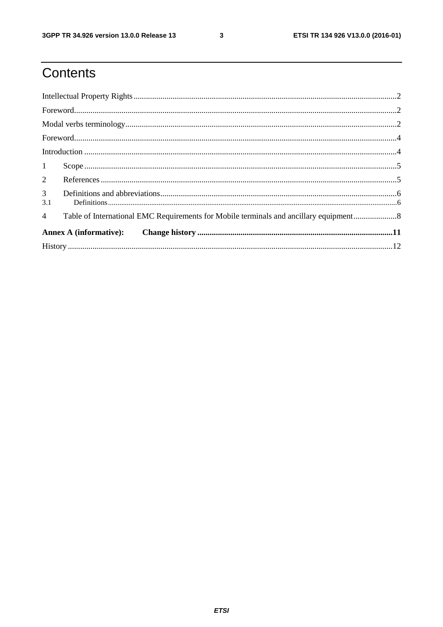$\mathbf{3}$ 

# Contents

| $1 -$                 |                                                                                       |  |
|-----------------------|---------------------------------------------------------------------------------------|--|
|                       |                                                                                       |  |
| 3 <sup>7</sup><br>3.1 |                                                                                       |  |
| $\overline{4}$        | Table of International EMC Requirements for Mobile terminals and ancillary equipment8 |  |
|                       |                                                                                       |  |
|                       |                                                                                       |  |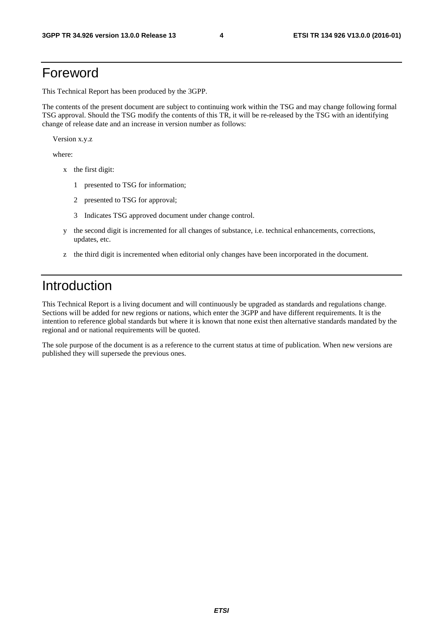#### Foreword

This Technical Report has been produced by the 3GPP.

The contents of the present document are subject to continuing work within the TSG and may change following formal TSG approval. Should the TSG modify the contents of this TR, it will be re-released by the TSG with an identifying change of release date and an increase in version number as follows:

Version x.y.z

where:

- x the first digit:
	- 1 presented to TSG for information;
	- 2 presented to TSG for approval;
	- 3 Indicates TSG approved document under change control.
- y the second digit is incremented for all changes of substance, i.e. technical enhancements, corrections, updates, etc.
- z the third digit is incremented when editorial only changes have been incorporated in the document.

### Introduction

This Technical Report is a living document and will continuously be upgraded as standards and regulations change. Sections will be added for new regions or nations, which enter the 3GPP and have different requirements. It is the intention to reference global standards but where it is known that none exist then alternative standards mandated by the regional and or national requirements will be quoted.

The sole purpose of the document is as a reference to the current status at time of publication. When new versions are published they will supersede the previous ones.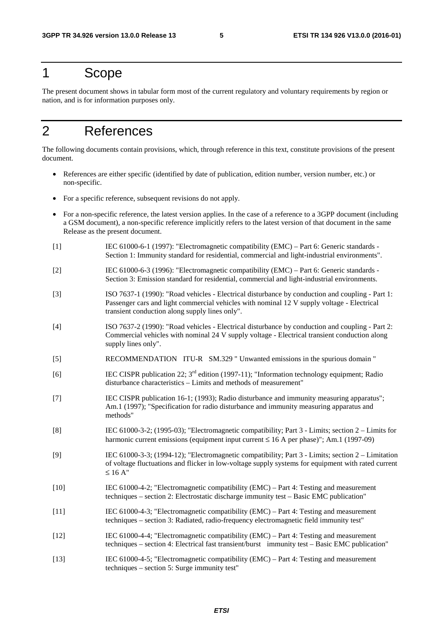#### 1 Scope

The present document shows in tabular form most of the current regulatory and voluntary requirements by region or nation, and is for information purposes only.

### 2 References

The following documents contain provisions, which, through reference in this text, constitute provisions of the present document.

- References are either specific (identified by date of publication, edition number, version number, etc.) or non-specific.
- For a specific reference, subsequent revisions do not apply.
- For a non-specific reference, the latest version applies. In the case of a reference to a 3GPP document (including a GSM document), a non-specific reference implicitly refers to the latest version of that document in the same Release as the present document.
- [1] IEC 61000-6-1 (1997): "Electromagnetic compatibility (EMC) Part 6: Generic standards Section 1: Immunity standard for residential, commercial and light-industrial environments".
- [2] IEC 61000-6-3 (1996): "Electromagnetic compatibility (EMC) Part 6: Generic standards Section 3: Emission standard for residential, commercial and light-industrial environments.
- [3] ISO 7637-1 (1990): "Road vehicles Electrical disturbance by conduction and coupling Part 1: Passenger cars and light commercial vehicles with nominal 12 V supply voltage - Electrical transient conduction along supply lines only".
- [4] ISO 7637-2 (1990): "Road vehicles Electrical disturbance by conduction and coupling Part 2: Commercial vehicles with nominal 24 V supply voltage - Electrical transient conduction along supply lines only".
- [5] RECOMMENDATION ITU-R SM.329 " Unwanted emissions in the spurious domain "
- [6] IEC CISPR publication 22;  $3<sup>rd</sup>$  edition (1997-11); "Information technology equipment; Radio disturbance characteristics – Limits and methods of measurement"
- [7] IEC CISPR publication 16-1; (1993); Radio disturbance and immunity measuring apparatus"; Am.1 (1997); "Specification for radio disturbance and immunity measuring apparatus and methods"
- [8] IEC 61000-3-2; (1995-03); "Electromagnetic compatibility; Part 3 Limits; section 2 Limits for harmonic current emissions (equipment input current  $\leq 16$  A per phase)"; Am.1 (1997-09)
- [9] IEC 61000-3-3; (1994-12); "Electromagnetic compatibility; Part 3 Limits; section 2 Limitation of voltage fluctuations and flicker in low-voltage supply systems for equipment with rated current  $\leq 16$  A"
- [10] IEC 61000-4-2; "Electromagnetic compatibility (EMC) Part 4: Testing and measurement techniques – section 2: Electrostatic discharge immunity test – Basic EMC publication"
- [11] IEC 61000-4-3; "Electromagnetic compatibility (EMC) Part 4: Testing and measurement techniques – section 3: Radiated, radio-frequency electromagnetic field immunity test"
- [12] IEC 61000-4-4; "Electromagnetic compatibility (EMC) Part 4: Testing and measurement techniques – section 4: Electrical fast transient/burst immunity test – Basic EMC publication"
- [13] IEC 61000-4-5; "Electromagnetic compatibility (EMC) Part 4: Testing and measurement techniques – section 5: Surge immunity test"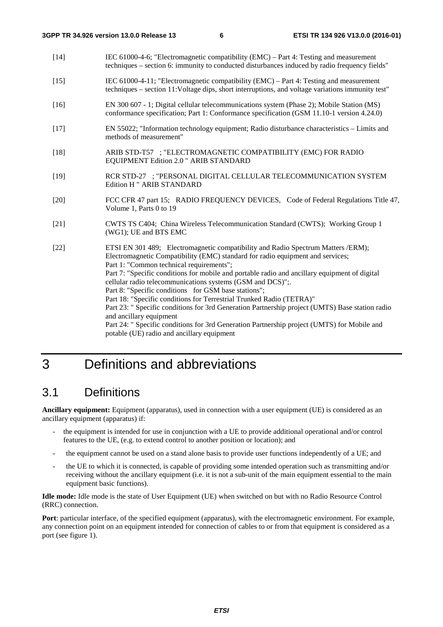- [14] IEC 61000-4-6; "Electromagnetic compatibility (EMC) Part 4: Testing and measurement techniques – section 6: immunity to conducted disturbances induced by radio frequency fields"
- [15] IEC 61000-4-11; "Electromagnetic compatibility (EMC) Part 4: Testing and measurement techniques – section 11:Voltage dips, short interruptions, and voltage variations immunity test"
- [16] EN 300 607 1; Digital cellular telecommunications system (Phase 2); Mobile Station (MS) conformance specification; Part 1: Conformance specification (GSM 11.10-1 version 4.24.0)
- [17] EN 55022; "Information technology equipment; Radio disturbance characteristics Limits and methods of measurement"
- [18] ARIB STD-T57 ; "ELECTROMAGNETIC COMPATIBILITY (EMC) FOR RADIO EQUIPMENT Edition 2.0 " ARIB STANDARD
- [19] RCR STD-27 ; "PERSONAL DIGITAL CELLULAR TELECOMMUNICATION SYSTEM Edition H " ARIB STANDARD
- [20] FCC CFR 47 part 15; RADIO FREQUENCY DEVICES, Code of Federal Regulations Title 47, Volume 1, Parts 0 to 19
- [21] CWTS TS C404; China Wireless Telecommunication Standard (CWTS); Working Group 1 (WG1); UE and BTS EMC
- [22] ETSI EN 301 489; Electromagnetic compatibility and Radio Spectrum Matters /ERM); Electromagnetic Compatibility (EMC) standard for radio equipment and services; Part 1: "Common technical requirements"; Part 7: "Specific conditions for mobile and portable radio and ancillary equipment of digital cellular radio telecommunications systems (GSM and DCS)";. Part 8: "Specific conditions for GSM base stations": Part 18: "Specific conditions for Terrestrial Trunked Radio (TETRA)" Part 23: " Specific conditions for 3rd Generation Partnership project (UMTS) Base station radio and ancillary equipment Part 24: " Specific conditions for 3rd Generation Partnership project (UMTS) for Mobile and potable (UE) radio and ancillary equipment

### 3 Definitions and abbreviations

#### 3.1 Definitions

**Ancillary equipment:** Equipment (apparatus), used in connection with a user equipment (UE) is considered as an ancillary equipment (apparatus) if:

- the equipment is intended for use in conjunction with a UE to provide additional operational and/or control features to the UE, (e.g. to extend control to another position or location); and
- the equipment cannot be used on a stand alone basis to provide user functions independently of a UE; and
- the UE to which it is connected, is capable of providing some intended operation such as transmitting and/or receiving without the ancillary equipment (i.e. it is not a sub-unit of the main equipment essential to the main equipment basic functions).

**Idle mode:** Idle mode is the state of User Equipment (UE) when switched on but with no Radio Resource Control (RRC) connection.

**Port**: particular interface, of the specified equipment (apparatus), with the electromagnetic environment. For example, any connection point on an equipment intended for connection of cables to or from that equipment is considered as a port (see figure 1).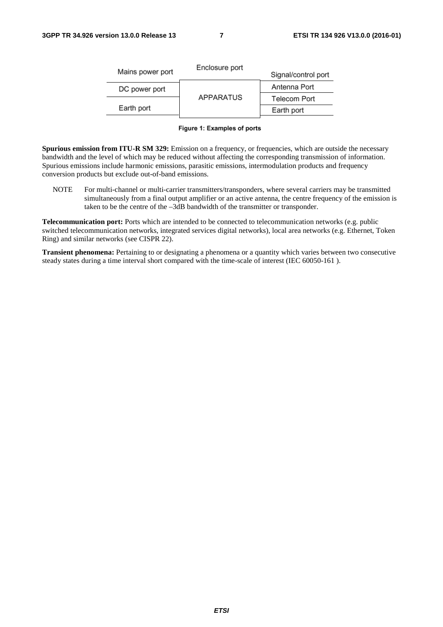| Enclosure port   | Signal/control port |  |  |  |  |
|------------------|---------------------|--|--|--|--|
|                  | Antenna Port        |  |  |  |  |
| <b>APPARATUS</b> | <b>Telecom Port</b> |  |  |  |  |
|                  | Earth port          |  |  |  |  |
|                  |                     |  |  |  |  |

#### Figure 1: Examples of ports

**Spurious emission from ITU-R SM 329:** Emission on a frequency, or frequencies, which are outside the necessary bandwidth and the level of which may be reduced without affecting the corresponding transmission of information. Spurious emissions include harmonic emissions, parasitic emissions, intermodulation products and frequency conversion products but exclude out-of-band emissions.

NOTE For multi-channel or multi-carrier transmitters/transponders, where several carriers may be transmitted simultaneously from a final output amplifier or an active antenna, the centre frequency of the emission is taken to be the centre of the –3dB bandwidth of the transmitter or transponder.

**Telecommunication port:** Ports which are intended to be connected to telecommunication networks (e.g. public switched telecommunication networks, integrated services digital networks), local area networks (e.g. Ethernet, Token Ring) and similar networks (see CISPR 22).

**Transient phenomena:** Pertaining to or designating a phenomena or a quantity which varies between two consecutive steady states during a time interval short compared with the time-scale of interest (IEC 60050-161 ).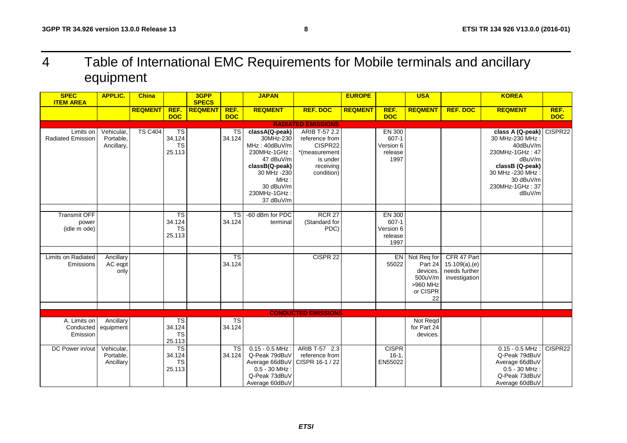# 4 Table of International EMC Requirements for Mobile terminals and ancillary equipment

| <b>SPEC</b><br><b>ITEM AREA</b>       | <b>APPLIC.</b>                        | <b>China</b>   |                                                           | 3GPP<br><b>SPECS</b> |                                  | <b>JAPAN</b>                                                                                                                                                 |                                                                                                    | <b>EUROPE</b>  |                                                     | <b>USA</b>                                                                     |                                                                    | <b>KOREA</b>                                                                                                                                                           |                    |
|---------------------------------------|---------------------------------------|----------------|-----------------------------------------------------------|----------------------|----------------------------------|--------------------------------------------------------------------------------------------------------------------------------------------------------------|----------------------------------------------------------------------------------------------------|----------------|-----------------------------------------------------|--------------------------------------------------------------------------------|--------------------------------------------------------------------|------------------------------------------------------------------------------------------------------------------------------------------------------------------------|--------------------|
|                                       |                                       | <b>REQMENT</b> | REF.<br><b>DOC</b>                                        | <b>REQMENT</b>       | REF.<br><b>DOC</b>               | <b>REQMENT</b>                                                                                                                                               | <b>REF. DOC</b>                                                                                    | <b>REQMENT</b> | REF.<br><b>DOC</b>                                  | <b>REQMENT</b>                                                                 | <b>REF. DOC</b>                                                    | <b>REQMENT</b>                                                                                                                                                         | REF.<br><b>DOC</b> |
|                                       |                                       |                |                                                           |                      |                                  |                                                                                                                                                              | <b>RADIATED EMISSIONS</b>                                                                          |                |                                                     |                                                                                |                                                                    |                                                                                                                                                                        |                    |
| Limits on<br><b>Radiated Emission</b> | Vehicular,<br>Portable,<br>Ancillary, | <b>TS C404</b> | $\overline{\mathsf{TS}}$<br>34.124<br><b>TS</b><br>25.113 |                      | <b>TS</b><br>34.124              | classA(Q-peak)<br>30MHz-230<br>MHz: 40dBuV/m<br>230MHz-1GHz:<br>47 dBuV/m<br>classB(Q-peak)<br>30 MHz -230<br>MHz:<br>30 dBuV/m<br>230MHz-1GHz:<br>37 dBuV/m | ARIB T-57 2.2<br>reference from<br>CISPR22<br>*(measurement<br>is under<br>receiving<br>condition) |                | EN 300<br>607-1<br>Version 6<br>release<br>1997     |                                                                                |                                                                    | class A (Q-peak) CISPR22<br>30 MHz-230 MHz:<br>40dBuV/m<br>230MHz-1GHz: 47<br>dBuV/m<br>classB (Q-peak)<br>30 MHz - 230 MHz:<br>30 dBuV/m<br>230MHz-1GHz: 37<br>dBuV/m |                    |
| Transmit OFF<br>power<br>(idle m ode) |                                       |                | TS<br>34.124<br><b>TS</b><br>25.113                       |                      | <b>TS</b><br>34.124              | -60 dBm for PDC<br>terminal                                                                                                                                  | <b>RCR 27</b><br>(Standard for<br>PDC)                                                             |                | EN 300<br>$607 - 1$<br>Version 6<br>release<br>1997 |                                                                                |                                                                    |                                                                                                                                                                        |                    |
| Limits on Radiated<br>Emissions       | Ancillary<br>AC eqpt<br>only          |                |                                                           |                      | $\overline{\text{TS}}$<br>34.124 |                                                                                                                                                              | CISPR <sub>22</sub>                                                                                |                | 55022                                               | EN Not Req for<br>Part 24<br>devices.<br>500uV/m<br>>960 MHz<br>or CISPR<br>22 | CFR 47 Part<br>$15.109(a)$ , (e)<br>needs further<br>investigation |                                                                                                                                                                        |                    |
|                                       |                                       |                |                                                           |                      |                                  |                                                                                                                                                              | <b>CONDUCTED EMISSIONS</b>                                                                         |                |                                                     |                                                                                |                                                                    |                                                                                                                                                                        |                    |
| A. Limits on<br>Conducted<br>Emission | Ancillary<br>equipment                |                | TS<br>34.124<br><b>TS</b><br>25.113                       |                      | $\overline{\text{TS}}$<br>34.124 |                                                                                                                                                              |                                                                                                    |                |                                                     | Not Regd<br>for Part 24<br>devices.                                            |                                                                    |                                                                                                                                                                        |                    |
| DC Power in/out                       | Vehicular,<br>Portable,<br>Ancillary  |                | $\overline{\text{TS}}$<br>34.124<br><b>TS</b><br>25.113   |                      | <b>TS</b><br>34.124              | $0.15 - 0.5$ MHz:<br>Q-Peak 79dBuV<br>Average 66dBuV<br>$0.5 - 30$ MHz:<br>Q-Peak 73dBuV<br>Average 60dBuV                                                   | ARIB T-57 2.3<br>reference from<br>CISPR 16-1 / 22                                                 |                | <b>CISPR</b><br>$16-1$<br>EN55022                   |                                                                                |                                                                    | $0.15 - 0.5$ MHz :<br>Q-Peak 79dBuV<br>Average 66dBuV<br>$0.5 - 30$ MHz:<br>Q-Peak 73dBuV<br>Average 60dBuV                                                            | CISPR22            |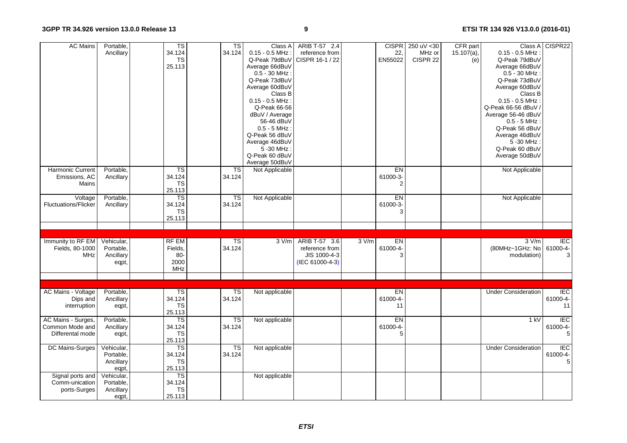| <b>AC Mains</b>                                           | Portable,<br>Ancillary                        | TS<br>34.124<br><b>TS</b><br>25.113                       | TS<br>34.124                     | Class A<br>$0.15 - 0.5$ MHz:<br>Q-Peak 79dBuV<br>Average 66dBuV<br>$0.5 - 30$ MHz:<br>Q-Peak 73dBuV<br>Average 60dBuV<br>Class B<br>$0.15 - 0.5$ MHz:<br>Q-Peak 66-56<br>dBuV / Average<br>56-46 dBuV<br>$0.5 - 5$ MHz:<br>Q-Peak 56 dBuV<br>Average 46dBuV<br>5 - 30 MHz:<br>Q-Peak 60 dBuV | ARIB T-57 2.4<br>reference from<br>CISPR 16-1 / 22                 |       | <b>CISPR</b><br>22,<br>EN55022   | 250 uV < 30<br>MHz or<br>CISPR 22 | CFR part<br>$15.107(a)$ ,<br>(e) | $0.15 - 0.5$ MHz:<br>Q-Peak 79dBuV<br>Average 66dBuV<br>$0.5 - 30$ MHz:<br>Q-Peak 73dBuV<br>Average 60dBuV<br>Class B<br>$0.15 - 0.5$ MHz:<br>Q-Peak 66-56 dBuV<br>Average 56-46 dBuV<br>$0.5 - 5$ MHz:<br>Q-Peak 56 dBuV<br>Average 46dBuV<br>5 - 30 MHz :<br>Q-Peak 60 dBuV<br>Average 50dBuV | Class A CISPR22                       |
|-----------------------------------------------------------|-----------------------------------------------|-----------------------------------------------------------|----------------------------------|----------------------------------------------------------------------------------------------------------------------------------------------------------------------------------------------------------------------------------------------------------------------------------------------|--------------------------------------------------------------------|-------|----------------------------------|-----------------------------------|----------------------------------|-------------------------------------------------------------------------------------------------------------------------------------------------------------------------------------------------------------------------------------------------------------------------------------------------|---------------------------------------|
| Harmonic Current<br>Emissions, AC<br>Mains                | Portable,<br>Ancillary                        | $\overline{\mathsf{TS}}$<br>34.124<br><b>TS</b><br>25.113 | TS<br>34.124                     | Average 50dBuV<br>Not Applicable                                                                                                                                                                                                                                                             |                                                                    |       | EN<br>61000-3-<br>$\overline{2}$ |                                   |                                  | Not Applicable                                                                                                                                                                                                                                                                                  |                                       |
| Voltage<br><b>Fluctuations/Flicker</b>                    | Portable,<br>Ancillary                        | TS<br>34.124<br><b>TS</b><br>25.113                       | $\overline{\text{TS}}$<br>34.124 | Not Applicable                                                                                                                                                                                                                                                                               |                                                                    |       | EN<br>61000-3-<br>3              |                                   |                                  | Not Applicable                                                                                                                                                                                                                                                                                  |                                       |
|                                                           |                                               |                                                           |                                  |                                                                                                                                                                                                                                                                                              |                                                                    |       |                                  |                                   |                                  |                                                                                                                                                                                                                                                                                                 |                                       |
| Immunity to RF EM<br>Fields, 80-1000<br><b>MHz</b>        | Vehicular,<br>Portable,<br>Ancillary<br>eqpt, | <b>RF EM</b><br>Fields,<br>$80 -$<br>2000<br>MHz          | $\overline{\text{TS}}$<br>34.124 | 3 V/m                                                                                                                                                                                                                                                                                        | ARIB T-57 3.6<br>reference from<br>JIS 1000-4-3<br>(IEC 61000-4-3) | 3 V/m | EN<br>61000-4-<br>3              |                                   |                                  | 3 V/m<br>(80MHz~1GHz: No<br>modulation)                                                                                                                                                                                                                                                         | <b>IEC</b><br>61000-4-<br>3           |
|                                                           |                                               |                                                           |                                  |                                                                                                                                                                                                                                                                                              |                                                                    |       |                                  |                                   |                                  |                                                                                                                                                                                                                                                                                                 |                                       |
| <b>AC Mains - Voltage</b><br>Dips and<br>interruption     | Portable,<br>Ancillary<br>eqpt,               | $\overline{\text{TS}}$<br>34.124<br><b>TS</b><br>25.113   | TS<br>34.124                     | Not applicable                                                                                                                                                                                                                                                                               |                                                                    |       | EN<br>61000-4<br>11              |                                   |                                  | <b>Under Consideration</b>                                                                                                                                                                                                                                                                      | <b>IEC</b><br>61000-4-<br>11          |
| AC Mains - Surges,<br>Common Mode and<br>Differental mode | Portable,<br>Ancillary<br>eqpt,               | $\overline{\text{TS}}$<br>34.124<br><b>TS</b><br>25.113   | $\overline{\text{TS}}$<br>34.124 | Not applicable                                                                                                                                                                                                                                                                               |                                                                    |       | EN<br>61000-4-<br>5              |                                   |                                  | 1 kV                                                                                                                                                                                                                                                                                            | <b>IEC</b><br>61000-4-<br>5           |
| DC Mains-Surges                                           | Vehicular,<br>Portable,<br>Ancillary<br>eqpt, | TS<br>34.124<br><b>TS</b><br>25.113                       | $\overline{\text{TS}}$<br>34.124 | Not applicable                                                                                                                                                                                                                                                                               |                                                                    |       |                                  |                                   |                                  | <b>Under Consideration</b>                                                                                                                                                                                                                                                                      | <b>IEC</b><br>61000-4-<br>$\mathbf 5$ |
| Signal ports and<br>Comm-unication<br>ports-Surges        | Vehicular,<br>Portable,<br>Ancillary<br>eqpt, | $\overline{\text{TS}}$<br>34.124<br><b>TS</b><br>25.113   |                                  | Not applicable                                                                                                                                                                                                                                                                               |                                                                    |       |                                  |                                   |                                  |                                                                                                                                                                                                                                                                                                 |                                       |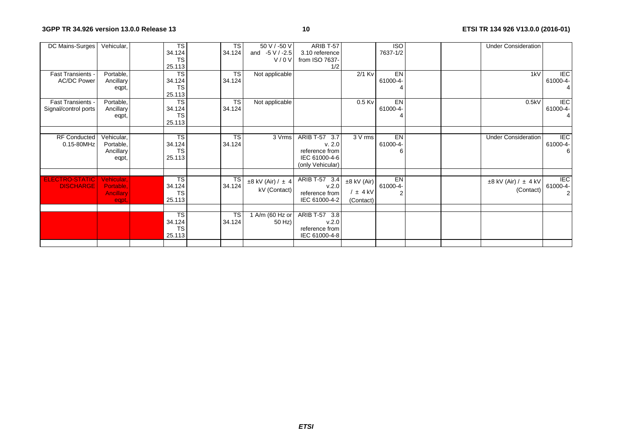| DC Mains-Surges                           | Vehicular,                                           | <b>TS</b><br>34.124                                     | TS<br>34.124        | 50 V / -50 V<br>and $-5$ V / -2.5     | ARIB T-57<br>3.10 reference                                                    |                                              | <b>ISO</b><br>7637-1/2 |  | <b>Under Consideration</b>                 |                                              |
|-------------------------------------------|------------------------------------------------------|---------------------------------------------------------|---------------------|---------------------------------------|--------------------------------------------------------------------------------|----------------------------------------------|------------------------|--|--------------------------------------------|----------------------------------------------|
|                                           |                                                      | <b>TS</b><br>25.113                                     |                     | V / 0 V                               | from ISO 7637-<br>1/2                                                          |                                              |                        |  |                                            |                                              |
| Fast Transients -<br><b>AC/DC Power</b>   | Portable,<br>Ancillary<br>eqpt,                      | <b>TS</b><br>34.124<br><b>TS</b><br>25.113              | TS<br>34.124        | Not applicable                        |                                                                                | $2/1$ Kv                                     | EN<br>61000-4-         |  | 1kV                                        | $\overline{F}$<br>61000-4-<br>$\overline{4}$ |
| Fast Transients -<br>Signal/control ports | Portable,<br>Ancillary<br>eqpt,                      | <b>TS</b><br>34.124<br><b>TS</b><br>25.113              | <b>TS</b><br>34.124 | Not applicable                        |                                                                                | $0.5$ Kv                                     | EN<br>61000-4-         |  | 0.5kV                                      | $\overline{F}$<br>61000-4-<br>$\overline{4}$ |
| <b>RF Conducted</b><br>0.15-80MHz         | Vehicular,<br>Portable,<br>Ancillary<br>eqpt,        | <b>TS</b><br>34.124<br><b>TS</b><br>25.113              | <b>TS</b><br>34.124 | 3 Vrms                                | ARIB T-57 3.7<br>v. 2.0<br>reference from<br>IEC 61000-4-6<br>(only Vehicular) | 3 V rms                                      | EN<br>61000-4-         |  | <b>Under Consideration</b>                 | $\overline{F}$<br>61000-4-<br>6              |
| <b>ELECTRO-STATIC</b><br><b>DISCHARGE</b> | Vehicular,<br>Portable.<br><b>Ancillary</b><br>eqpt, | <b>TS</b><br>34.124<br><b>TS</b><br>25.113              | TS<br>34.124        | $±8$ kV (Air) / $±$ 4<br>kV (Contact) | ARIB T-57 3.4<br>v.2.0<br>reference from<br>IEC 61000-4-2                      | $±8$ kV (Air)<br>$/$ $\pm$ 4 kV<br>(Contact) | EN<br>61000-4-         |  | $\pm 8$ kV (Air) / $\pm$ 4 kV<br>(Contact) | <b>IEC</b><br>61000-4-<br>$\overline{2}$     |
|                                           |                                                      | $\overline{\text{TS}}$<br>34.124<br><b>TS</b><br>25.113 | <b>TS</b><br>34.124 | 1 A/m (60 Hz or<br>50 Hz)             | ARIB T-57 3.8<br>v.2.0<br>reference from<br>IEC 61000-4-8                      |                                              |                        |  |                                            |                                              |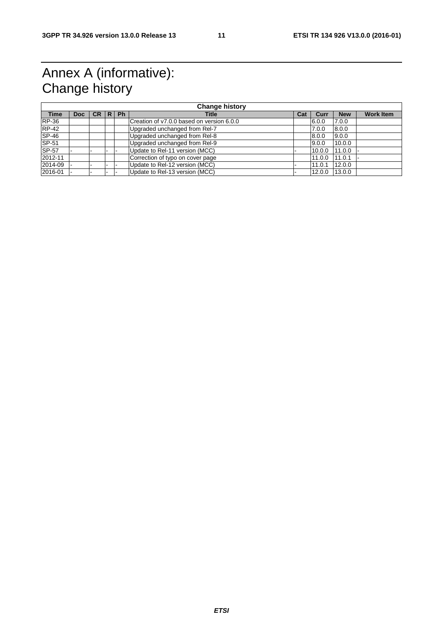## Annex A (informative): Change history

| <b>Change history</b> |      |           |   |           |                                           |     |        |            |                  |
|-----------------------|------|-----------|---|-----------|-------------------------------------------|-----|--------|------------|------------------|
| <b>Time</b>           | Doc: | <b>CR</b> | R | <b>Ph</b> | <b>Title</b>                              | Cat | Curr   | <b>New</b> | <b>Work Item</b> |
| <b>RP-36</b>          |      |           |   |           | Creation of v7.0.0 based on version 6.0.0 |     | 6.0.0  | 7.0.0      |                  |
| <b>RP-42</b>          |      |           |   |           | Upgraded unchanged from Rel-7             |     | 7.0.0  | 8.0.0      |                  |
| $SP-46$               |      |           |   |           | Upgraded unchanged from Rel-8             |     | 8.0.0  | 9.0.0      |                  |
| <b>SP-51</b>          |      |           |   |           | Upgraded unchanged from Rel-9             |     | 9.0.0  | 10.0.0     |                  |
| <b>SP-57</b>          |      |           |   |           | Update to Rel-11 version (MCC)            |     | 10.0.0 | 111.0.0    |                  |
| 2012-11               |      |           |   |           | Correction of typo on cover page          |     | 11.0.0 | 111.0.1    |                  |
| 2014-09               |      |           |   |           | Update to Rel-12 version (MCC)            |     | 11.0.1 | 12.0.0     |                  |
| 2016-01               |      |           |   |           | Update to Rel-13 version (MCC)            |     | 12.0.0 | 13.0.0     |                  |